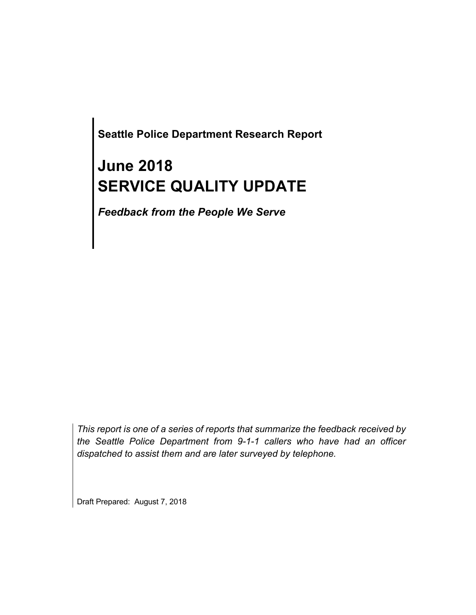**Seattle Police Department Research Report**

# **June 2018 SERVICE QUALITY UPDATE**

*Feedback from the People We Serve*

*This report is one of a series of reports that summarize the feedback received by the Seattle Police Department from 9-1-1 callers who have had an officer dispatched to assist them and are later surveyed by telephone.*

Draft Prepared: August 7, 2018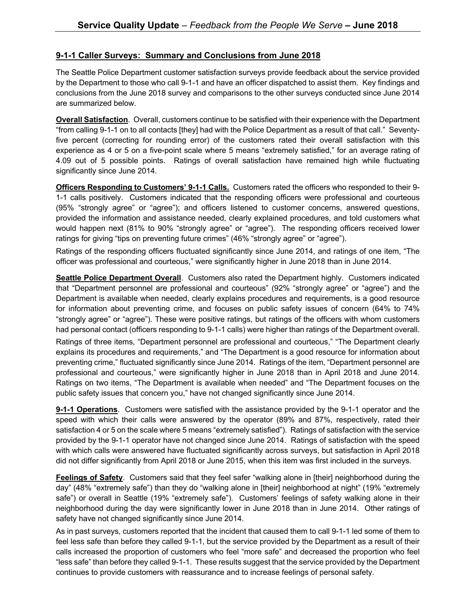#### **9-1-1 Caller Surveys: Summary and Conclusions from June 2018**

The Seattle Police Department customer satisfaction surveys provide feedback about the service provided by the Department to those who call 9-1-1 and have an officer dispatched to assist them. Key findings and conclusions from the June 2018 survey and comparisons to the other surveys conducted since June 2014 are summarized below.

**Overall Satisfaction**. Overall, customers continue to be satisfied with their experience with the Department "from calling 9-1-1 on to all contacts [they] had with the Police Department as a result of that call." Seventyfive percent (correcting for rounding error) of the customers rated their overall satisfaction with this experience as 4 or 5 on a five-point scale where 5 means "extremely satisfied," for an average rating of 4.09 out of 5 possible points. Ratings of overall satisfaction have remained high while fluctuating significantly since June 2014.

**Officers Responding to Customers' 9-1-1 Calls.** Customers rated the officers who responded to their 9- 1-1 calls positively. Customers indicated that the responding officers were professional and courteous (95% "strongly agree" or "agree"); and officers listened to customer concerns, answered questions, provided the information and assistance needed, clearly explained procedures, and told customers what would happen next (81% to 90% "strongly agree" or "agree"). The responding officers received lower ratings for giving "tips on preventing future crimes" (46% "strongly agree" or "agree").

Ratings of the responding officers fluctuated significantly since June 2014, and ratings of one item, "The officer was professional and courteous," were significantly higher in June 2018 than in June 2014.

**Seattle Police Department Overall**. Customers also rated the Department highly. Customers indicated that "Department personnel are professional and courteous" (92% "strongly agree" or "agree") and the Department is available when needed, clearly explains procedures and requirements, is a good resource for information about preventing crime, and focuses on public safety issues of concern (64% to 74% "strongly agree" or "agree"). These were positive ratings, but ratings of the officers with whom customers had personal contact (officers responding to 9-1-1 calls) were higher than ratings of the Department overall.

Ratings of three items, "Department personnel are professional and courteous," "The Department clearly explains its procedures and requirements," and "The Department is a good resource for information about preventing crime," fluctuated significantly since June 2014. Ratings of the item, "Department personnel are professional and courteous," were significantly higher in June 2018 than in April 2018 and June 2014. Ratings on two items, "The Department is available when needed" and "The Department focuses on the public safety issues that concern you," have not changed significantly since June 2014.

**9-1-1 Operations**. Customers were satisfied with the assistance provided by the 9-1-1 operator and the speed with which their calls were answered by the operator (89% and 87%, respectively, rated their satisfaction 4 or 5 on the scale where 5 means "extremely satisfied"). Ratings of satisfaction with the service provided by the 9-1-1 operator have not changed since June 2014. Ratings of satisfaction with the speed with which calls were answered have fluctuated significantly across surveys, but satisfaction in April 2018 did not differ significantly from April 2018 or June 2015, when this item was first included in the surveys.

**Feelings of Safety**. Customers said that they feel safer "walking alone in [their] neighborhood during the day" (48% "extremely safe") than they do "walking alone in [their] neighborhood at night" (19% "extremely safe") or overall in Seattle (19% "extremely safe"). Customers' feelings of safety walking alone in their neighborhood during the day were significantly lower in June 2018 than in June 2014. Other ratings of safety have not changed significantly since June 2014.

As in past surveys, customers reported that the incident that caused them to call 9-1-1 led some of them to feel less safe than before they called 9-1-1, but the service provided by the Department as a result of their calls increased the proportion of customers who feel "more safe" and decreased the proportion who feel "less safe" than before they called 9-1-1. These results suggest that the service provided by the Department continues to provide customers with reassurance and to increase feelings of personal safety.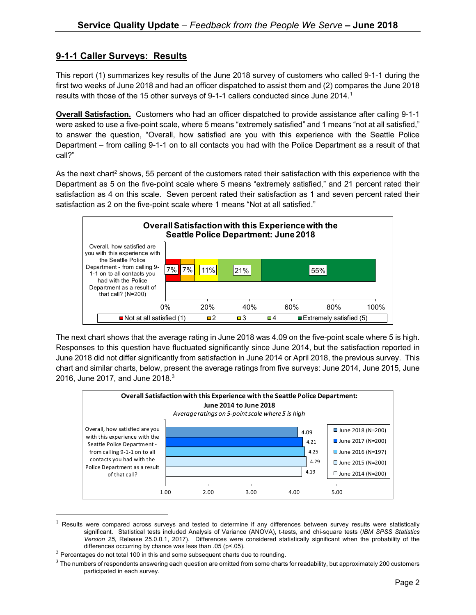### **9-1-1 Caller Surveys: Results**

This report (1) summarizes key results of the June 2018 survey of customers who called 9-1-1 during the first two weeks of June 2018 and had an officer dispatched to assist them and (2) compares the June 2018 results with those of the 15 other surveys of 9-1-1 callers conducted since June 2014.<sup>1</sup>

**Overall Satisfaction.** Customers who had an officer dispatched to provide assistance after calling 9-1-1 were asked to use a five-point scale, where 5 means "extremely satisfied" and 1 means "not at all satisfied," to answer the question, "Overall, how satisfied are you with this experience with the Seattle Police Department – from calling 9-1-1 on to all contacts you had with the Police Department as a result of that call?"

As the next chart<sup>2</sup> shows, 55 percent of the customers rated their satisfaction with this experience with the Department as 5 on the five-point scale where 5 means "extremely satisfied," and 21 percent rated their satisfaction as 4 on this scale. Seven percent rated their satisfaction as 1 and seven percent rated their satisfaction as 2 on the five-point scale where 1 means "Not at all satisfied."



The next chart shows that the average rating in June 2018 was 4.09 on the five-point scale where 5 is high. Responses to this question have fluctuated significantly since June 2014, but the satisfaction reported in June 2018 did not differ significantly from satisfaction in June 2014 or April 2018, the previous survey. This chart and similar charts, below, present the average ratings from five surveys: June 2014, June 2015, June 2016, June 2017, and June 2018. $3$ 



 $<sup>1</sup>$  Results were compared across surveys and tested to determine if any differences between survey results were statistically</sup> significant. Statistical tests included Analysis of Variance (ANOVA), t-tests, and chi-square tests (*IBM SPSS Statistics Version 25,* Release 25.0.0.1, 2017). Differences were considered statistically significant when the probability of the differences occurring by chance was less than .05 (p<.05).

 $2$  Percentages do not total 100 in this and some subsequent charts due to rounding.

 $3$  The numbers of respondents answering each question are omitted from some charts for readability, but approximately 200 customers participated in each survey.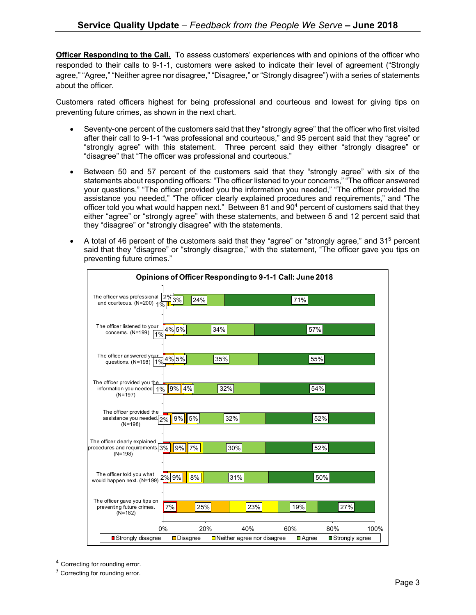**Officer Responding to the Call.** To assess customers' experiences with and opinions of the officer who responded to their calls to 9-1-1, customers were asked to indicate their level of agreement ("Strongly agree," "Agree," "Neither agree nor disagree," "Disagree," or "Strongly disagree") with a series of statements about the officer.

Customers rated officers highest for being professional and courteous and lowest for giving tips on preventing future crimes, as shown in the next chart.

- Seventy-one percent of the customers said that they "strongly agree" that the officer who first visited after their call to 9-1-1 "was professional and courteous," and 95 percent said that they "agree" or "strongly agree" with this statement. Three percent said they either "strongly disagree" or "disagree" that "The officer was professional and courteous."
- Between 50 and 57 percent of the customers said that they "strongly agree" with six of the statements about responding officers: "The officer listened to your concerns," "The officer answered your questions," "The officer provided you the information you needed," "The officer provided the assistance you needed," "The officer clearly explained procedures and requirements," and "The officer told you what would happen next." Between 81 and  $90<sup>4</sup>$  percent of customers said that they either "agree" or "strongly agree" with these statements, and between 5 and 12 percent said that they "disagree" or "strongly disagree" with the statements.
- A total of 46 percent of the customers said that they "agree" or "strongly agree," and 31<sup>5</sup> percent said that they "disagree" or "strongly disagree," with the statement, "The officer gave you tips on preventing future crimes."

| Opinions of Officer Responding to 9-1-1 Call: June 2018                            |                          |                                          |                             |                                 |
|------------------------------------------------------------------------------------|--------------------------|------------------------------------------|-----------------------------|---------------------------------|
| The officer was professional<br>3%<br>and courteous. $(N=200)$ 1%                  | 24%                      |                                          | 71%                         |                                 |
| The officer listened to your<br>4% 5%<br>concerns. (N=199)<br>1%                   | 34%                      |                                          | 57%                         |                                 |
| The officer answered your<br>questions. (N=198) 1% 4% 5%                           | 35%                      |                                          | 55%                         |                                 |
| The officer provided you the<br>9%<br>information you needed 1%<br>$(N=197)$       | 4%<br>32%                |                                          | 54%                         |                                 |
| The officer provided the<br>assistance you needed 2%<br>$(N=198)$                  | $9\%$ 5%                 | 32%                                      | 52%                         |                                 |
| The officer clearly explained<br>9%<br>procedures and requirements 3%<br>$(N=198)$ | 7%                       | 30%                                      | 52%                         |                                 |
| The officer told you what<br>would happen next. $(N=199) 2\frac{96}{96}$           | 8%                       | 31%                                      |                             | 50%                             |
| The officer gave you tips on<br>7%<br>preventing future crimes.<br>$(N=182)$       | 25%                      | 23%                                      | 19%                         | 27%                             |
| 0%<br>■ Strongly disagree                                                          | 20%<br><b>□</b> Disagree | 40%<br>$\Box$ Neither agree nor disagree | 60%<br>$\blacksquare$ Agree | 80%<br>100%<br>■ Strongly agree |

 $\overline{a}$ <sup>4</sup> Correcting for rounding error.

 $5$  Correcting for rounding error.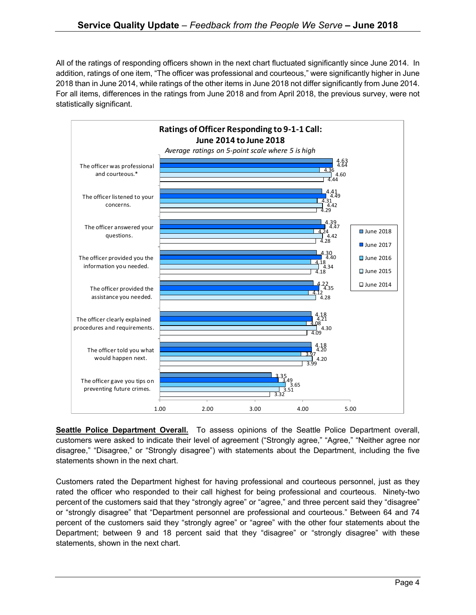All of the ratings of responding officers shown in the next chart fluctuated significantly since June 2014. In addition, ratings of one item, "The officer was professional and courteous," were significantly higher in June 2018 than in June 2014, while ratings of the other items in June 2018 not differ significantly from June 2014. For all items, differences in the ratings from June 2018 and from April 2018, the previous survey, were not statistically significant.



**Seattle Police Department Overall.** To assess opinions of the Seattle Police Department overall, customers were asked to indicate their level of agreement ("Strongly agree," "Agree," "Neither agree nor disagree," "Disagree," or "Strongly disagree") with statements about the Department, including the five statements shown in the next chart.

Customers rated the Department highest for having professional and courteous personnel, just as they rated the officer who responded to their call highest for being professional and courteous. Ninety-two percent of the customers said that they "strongly agree" or "agree," and three percent said they "disagree" or "strongly disagree" that "Department personnel are professional and courteous." Between 64 and 74 percent of the customers said they "strongly agree" or "agree" with the other four statements about the Department; between 9 and 18 percent said that they "disagree" or "strongly disagree" with these statements, shown in the next chart.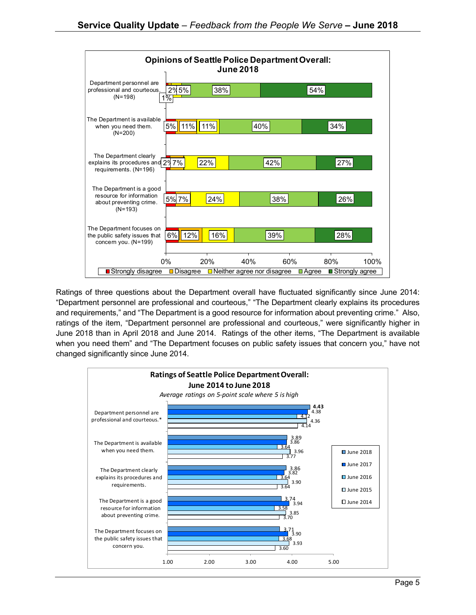

Ratings of three questions about the Department overall have fluctuated significantly since June 2014: "Department personnel are professional and courteous," "The Department clearly explains its procedures and requirements," and "The Department is a good resource for information about preventing crime." Also, ratings of the item, "Department personnel are professional and courteous," were significantly higher in June 2018 than in April 2018 and June 2014. Ratings of the other items, "The Department is available when you need them" and "The Department focuses on public safety issues that concern you," have not changed significantly since June 2014.

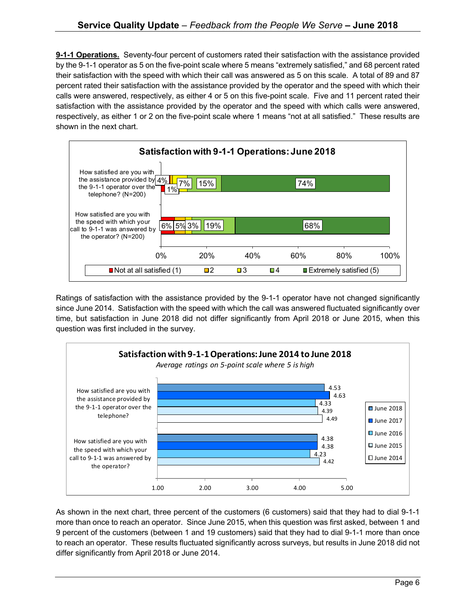**9-1-1 Operations.** Seventy-four percent of customers rated their satisfaction with the assistance provided by the 9-1-1 operator as 5 on the five-point scale where 5 means "extremely satisfied," and 68 percent rated their satisfaction with the speed with which their call was answered as 5 on this scale. A total of 89 and 87 percent rated their satisfaction with the assistance provided by the operator and the speed with which their calls were answered, respectively, as either 4 or 5 on this five-point scale. Five and 11 percent rated their satisfaction with the assistance provided by the operator and the speed with which calls were answered, respectively, as either 1 or 2 on the five-point scale where 1 means "not at all satisfied." These results are shown in the next chart.



Ratings of satisfaction with the assistance provided by the 9-1-1 operator have not changed significantly since June 2014. Satisfaction with the speed with which the call was answered fluctuated significantly over time, but satisfaction in June 2018 did not differ significantly from April 2018 or June 2015, when this question was first included in the survey.



As shown in the next chart, three percent of the customers (6 customers) said that they had to dial 9-1-1 more than once to reach an operator. Since June 2015, when this question was first asked, between 1 and 9 percent of the customers (between 1 and 19 customers) said that they had to dial 9-1-1 more than once to reach an operator. These results fluctuated significantly across surveys, but results in June 2018 did not differ significantly from April 2018 or June 2014.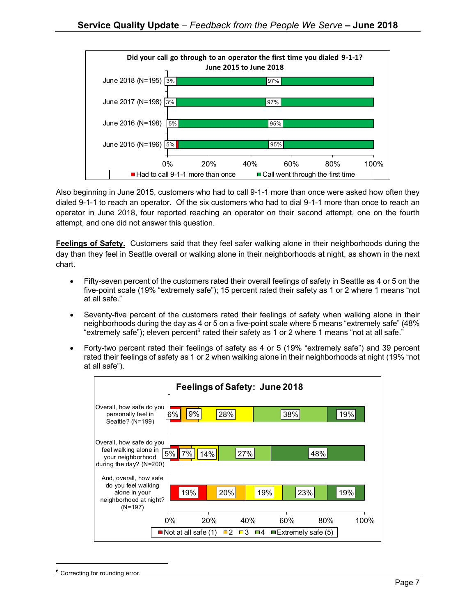

Also beginning in June 2015, customers who had to call 9-1-1 more than once were asked how often they dialed 9-1-1 to reach an operator. Of the six customers who had to dial 9-1-1 more than once to reach an operator in June 2018, four reported reaching an operator on their second attempt, one on the fourth attempt, and one did not answer this question.

**Feelings of Safety.** Customers said that they feel safer walking alone in their neighborhoods during the day than they feel in Seattle overall or walking alone in their neighborhoods at night, as shown in the next chart.

- Fifty-seven percent of the customers rated their overall feelings of safety in Seattle as 4 or 5 on the five-point scale (19% "extremely safe"); 15 percent rated their safety as 1 or 2 where 1 means "not at all safe."
- Seventy-five percent of the customers rated their feelings of safety when walking alone in their neighborhoods during the day as 4 or 5 on a five-point scale where 5 means "extremely safe" (48% "extremely safe"); eleven percent<sup>6</sup> rated their safety as 1 or 2 where 1 means "not at all safe."
- Forty-two percent rated their feelings of safety as 4 or 5 (19% "extremely safe") and 39 percent rated their feelings of safety as 1 or 2 when walking alone in their neighborhoods at night (19% "not at all safe").



Correcting for rounding error.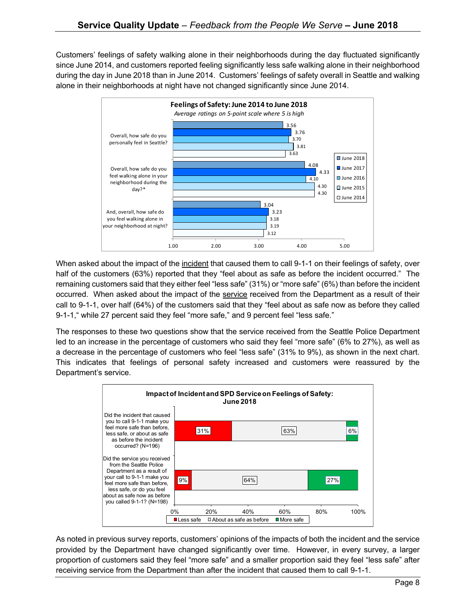Customers' feelings of safety walking alone in their neighborhoods during the day fluctuated significantly since June 2014, and customers reported feeling significantly less safe walking alone in their neighborhood during the day in June 2018 than in June 2014. Customers' feelings of safety overall in Seattle and walking alone in their neighborhoods at night have not changed significantly since June 2014.



When asked about the impact of the incident that caused them to call 9-1-1 on their feelings of safety, over half of the customers (63%) reported that they "feel about as safe as before the incident occurred." The remaining customers said that they either feel "less safe" (31%) or "more safe" (6%) than before the incident occurred. When asked about the impact of the service received from the Department as a result of their call to 9-1-1, over half (64%) of the customers said that they "feel about as safe now as before they called 9-1-1," while 27 percent said they feel "more safe," and 9 percent feel "less safe."

The responses to these two questions show that the service received from the Seattle Police Department led to an increase in the percentage of customers who said they feel "more safe" (6% to 27%), as well as a decrease in the percentage of customers who feel "less safe" (31% to 9%), as shown in the next chart. This indicates that feelings of personal safety increased and customers were reassured by the Department's service.



As noted in previous survey reports, customers' opinions of the impacts of both the incident and the service provided by the Department have changed significantly over time. However, in every survey, a larger proportion of customers said they feel "more safe" and a smaller proportion said they feel "less safe" after receiving service from the Department than after the incident that caused them to call 9-1-1.